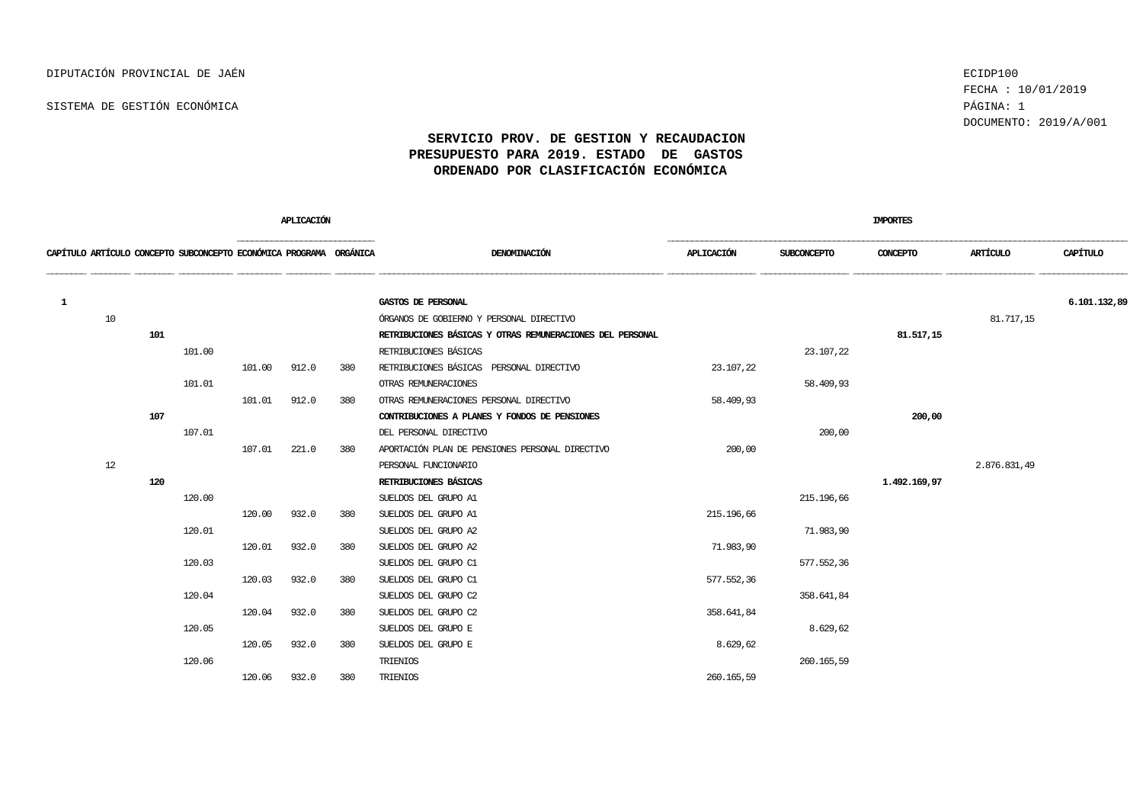FECHA : 10/01/2019 DOCUMENTO: 2019/A/001

|          |    |     |                                                                    |        | APLICACIÓN |     |                                                                 |            |             | <b>IMPORTES</b> |              |              |
|----------|----|-----|--------------------------------------------------------------------|--------|------------|-----|-----------------------------------------------------------------|------------|-------------|-----------------|--------------|--------------|
|          |    |     | CAPÍTULO ARTÍCULO CONCEPTO SUBCONCEPTO ECONÓMICA PROGRAMA ORGÁNICA |        |            |     | DENOMINACIÓN                                                    | APLICACIÓN | SUBCONCEPTO | CONCEPTO        | ARTÍCULO     | CAPÍTULO     |
|          |    |     |                                                                    |        |            |     |                                                                 |            |             |                 |              | 6,101,132,89 |
| <b>1</b> | 10 |     |                                                                    |        |            |     | GASTOS DE PERSONAL<br>ÓRGANOS DE GOBIERNO Y PERSONAL DIRECTIVO  |            |             |                 |              |              |
|          |    | 101 |                                                                    |        |            |     | RETRIBUCIONES BÁSICAS Y OTRAS REMUNERACIONES DEL PERSONAL       |            |             | 81, 517, 15     | 81.717,15    |              |
|          |    |     | 101.00                                                             |        |            |     | RETRIBUCIONES BÁSICAS                                           |            | 23.107,22   |                 |              |              |
|          |    |     |                                                                    | 101.00 | 912.0      | 380 | RETRIBUCIONES BÁSICAS PERSONAL DIRECTIVO                        | 23.107,22  |             |                 |              |              |
|          |    |     | 101.01                                                             |        |            |     |                                                                 |            | 58.409,93   |                 |              |              |
|          |    |     |                                                                    | 101.01 | 912.0      | 380 | OTRAS REMUNERACIONES<br>OTRAS REMUNERACIONES PERSONAL DIRECTIVO | 58,409,93  |             |                 |              |              |
|          |    | 107 |                                                                    |        |            |     | CONTRIBUCIONES A PLANES Y FONDOS DE PENSIONES                   |            |             | 200,00          |              |              |
|          |    |     | 107.01                                                             |        |            |     | DEL PERSONAL DIRECTIVO                                          |            | 200,00      |                 |              |              |
|          |    |     |                                                                    | 107.01 | 221.0      | 380 | APORTACIÓN PLAN DE PENSIONES PERSONAL DIRECTIVO                 | 200,00     |             |                 |              |              |
|          | 12 |     |                                                                    |        |            |     | PERSONAL FUNCIONARIO                                            |            |             |                 | 2.876.831,49 |              |
|          |    | 120 |                                                                    |        |            |     | RETRIBUCIONES BÁSICAS                                           |            |             | 1,492,169,97    |              |              |
|          |    |     | 120.00                                                             |        |            |     | SUELDOS DEL GRUPO A1                                            |            | 215.196,66  |                 |              |              |
|          |    |     |                                                                    | 120.00 | 932.0      | 380 | SUELDOS DEL GRUPO A1                                            | 215.196,66 |             |                 |              |              |
|          |    |     | 120.01                                                             |        |            |     | SUELDOS DEL GRUPO A2                                            |            | 71,983,90   |                 |              |              |
|          |    |     |                                                                    | 120.01 | 932.0      | 380 | SUELDOS DEL GRUPO A2                                            | 71.983,90  |             |                 |              |              |
|          |    |     | 120.03                                                             |        |            |     | SUELDOS DEL GRUPO C1                                            |            | 577.552,36  |                 |              |              |
|          |    |     |                                                                    | 120.03 | 932.0      | 380 | SUELDOS DEL GRUPO C1                                            | 577.552,36 |             |                 |              |              |
|          |    |     | 120.04                                                             |        |            |     | SUELDOS DEL GRUPO C2                                            |            | 358.641,84  |                 |              |              |
|          |    |     |                                                                    | 120.04 | 932.0      | 380 | SUELDOS DEL GRUPO C2                                            | 358.641,84 |             |                 |              |              |
|          |    |     | 120.05                                                             |        |            |     | SUELDOS DEL GRUPO E                                             |            | 8.629,62    |                 |              |              |
|          |    |     |                                                                    | 120.05 | 932.0      | 380 | SUELDOS DEL GRUPO E                                             | 8.629,62   |             |                 |              |              |
|          |    |     | 120.06                                                             |        |            |     | TRIENIOS                                                        |            | 260.165,59  |                 |              |              |
|          |    |     |                                                                    | 120.06 | 932.0      | 380 | TRIENIOS                                                        | 260.165,59 |             |                 |              |              |
|          |    |     |                                                                    |        |            |     |                                                                 |            |             |                 |              |              |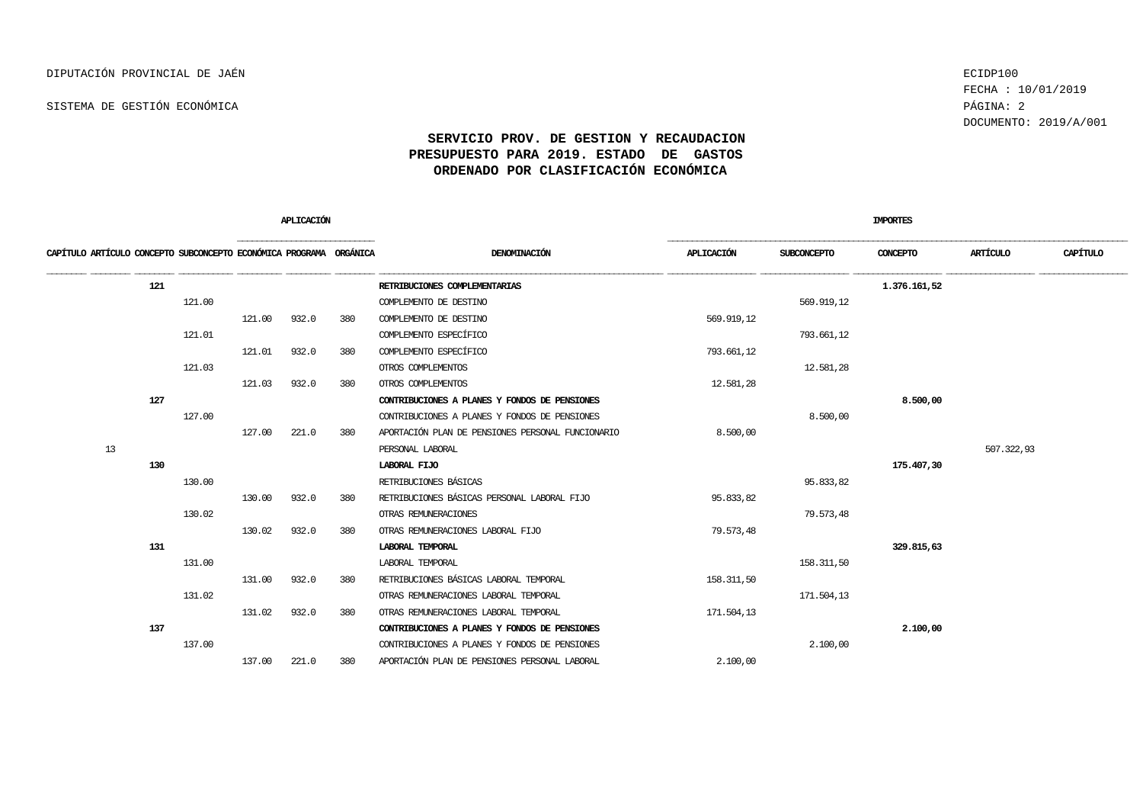FECHA : 10/01/2019 DOCUMENTO: 2019/A/001

|                                                                    |        | APLICACIÓN |       |     |                                                   |            | <b>IMPORTES</b> |              |            |          |
|--------------------------------------------------------------------|--------|------------|-------|-----|---------------------------------------------------|------------|-----------------|--------------|------------|----------|
| CAPÍTULO ARTÍCULO CONCEPTO SUBCONCEPTO ECONÓMICA PROGRAMA ORGÁNICA |        |            |       |     | DENOMINACIÓN                                      | APLICACIÓN | SUBCONCEPTO     | CONCEPTO     | ARTÍCULO   | CAPÍTULO |
| 121                                                                |        |            |       |     | RETRIBUCIONES COMPLEMENTARIAS                     |            |                 | 1,376,161,52 |            |          |
|                                                                    | 121.00 |            |       |     | COMPLEMENTO DE DESTINO                            |            | 569.919,12      |              |            |          |
|                                                                    |        | 121.00     | 932.0 | 380 | COMPLEMENTO DE DESTINO                            | 569.919,12 |                 |              |            |          |
|                                                                    | 121.01 |            |       |     | COMPLEMENTO ESPECÍFICO                            |            | 793.661,12      |              |            |          |
|                                                                    |        | 121.01     | 932.0 | 380 | COMPLEMENTO ESPECÍFICO                            | 793.661,12 |                 |              |            |          |
|                                                                    | 121.03 |            |       |     | OTROS COMPLEMENTOS                                |            | 12.581,28       |              |            |          |
|                                                                    |        | 121.03     | 932.0 | 380 | OTROS COMPLEMENTOS                                | 12.581,28  |                 |              |            |          |
| 127                                                                |        |            |       |     | CONTRIBUCIONES A PLANES Y FONDOS DE PENSIONES     |            |                 | 8.500,00     |            |          |
|                                                                    | 127.00 |            |       |     | CONTRIBUCIONES A PLANES Y FONDOS DE PENSIONES     |            | 8,500,00        |              |            |          |
|                                                                    |        | 127.00     | 221.0 | 380 | APORTACIÓN PLAN DE PENSIONES PERSONAL FUNCIONARIO | 8.500,00   |                 |              |            |          |
| 13                                                                 |        |            |       |     | PERSONAL LABORAL                                  |            |                 |              | 507.322,93 |          |
| 130                                                                |        |            |       |     | LABORAL FLJO                                      |            |                 | 175.407,30   |            |          |
|                                                                    | 130.00 |            |       |     | RETRIBUCIONES BÁSICAS                             |            | 95.833,82       |              |            |          |
|                                                                    |        | 130.00     | 932.0 | 380 | RETRIBUCIONES BÁSICAS PERSONAL LABORAL FIJO       | 95.833,82  |                 |              |            |          |
|                                                                    | 130.02 |            |       |     | OTRAS REMUNERACIONES                              |            | 79.573,48       |              |            |          |
|                                                                    |        | 130.02     | 932.0 | 380 | OTRAS REMUNERACIONES LABORAL FIJO                 | 79.573,48  |                 |              |            |          |
| 131                                                                |        |            |       |     | LABORAL TEMPORAL                                  |            |                 | 329.815,63   |            |          |
|                                                                    | 131.00 |            |       |     | LABORAL TEMPORAL                                  |            | 158.311,50      |              |            |          |
|                                                                    |        | 131.00     | 932.0 | 380 | RETRIBUCIONES BÁSICAS LABORAL TEMPORAL            | 158.311,50 |                 |              |            |          |
|                                                                    | 131.02 |            |       |     | OTRAS REMUNERACIONES LABORAL TEMPORAL             |            | 171.504,13      |              |            |          |
|                                                                    |        | 131.02     | 932.0 | 380 | OTRAS REMUNERACIONES LABORAL TEMPORAL             | 171,504,13 |                 |              |            |          |
| 137                                                                |        |            |       |     | CONTRIBUCIONES A PLANES Y FONDOS DE PENSIONES     |            |                 | 2.100,00     |            |          |
|                                                                    | 137.00 |            |       |     | CONTRIBUCIONES A PLANES Y FONDOS DE PENSIONES     |            | 2,100,00        |              |            |          |
|                                                                    |        | 137.00     | 221.0 | 380 | APORTACIÓN PLAN DE PENSIONES PERSONAL LABORAL     | 2.100,00   |                 |              |            |          |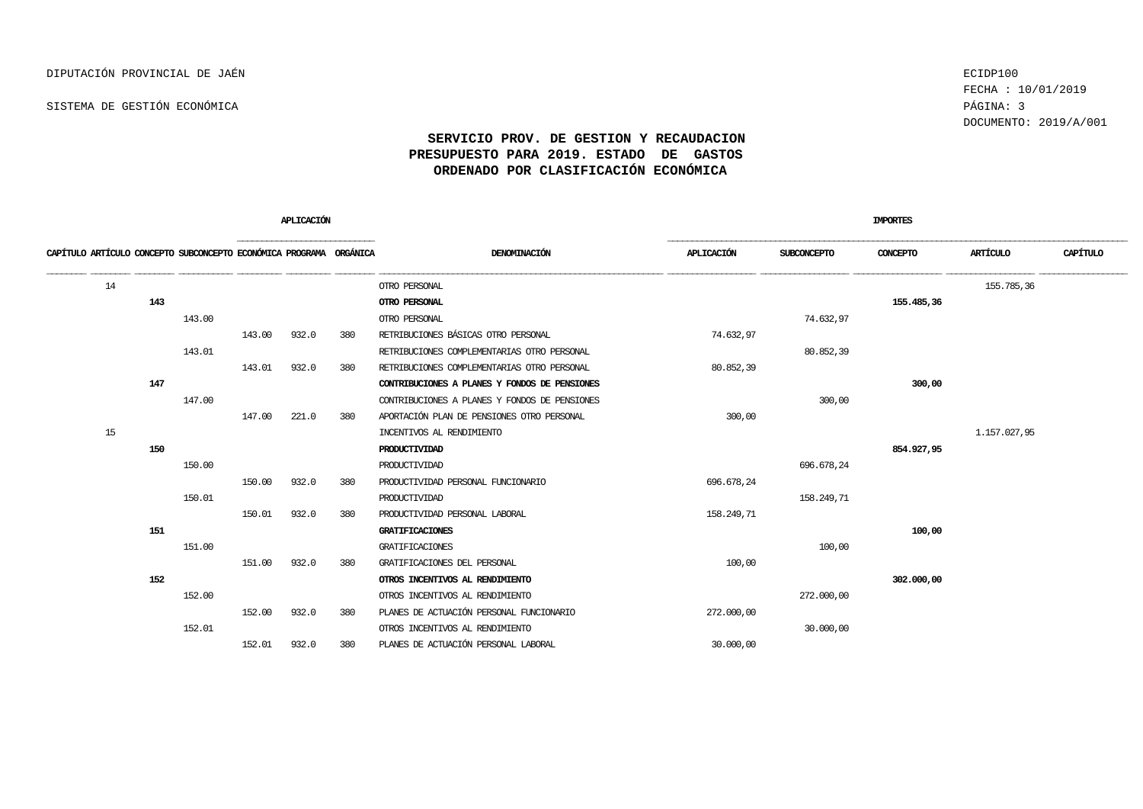FECHA : 10/01/2019 DOCUMENTO: 2019/A/001

|                                                                    |     |        |        | APLICACIÓN |     |                                               |            |             | <b>IMPORTES</b> |              |          |  |
|--------------------------------------------------------------------|-----|--------|--------|------------|-----|-----------------------------------------------|------------|-------------|-----------------|--------------|----------|--|
| CAPÍTULO ARTÍCULO CONCEPTO SUBCONCEPTO ECONÓMICA PROGRAMA ORGÁNICA |     |        |        |            |     | DENOMINACIÓN                                  | APLICACIÓN | SUBCONCEPTO | CONCEPTO        | ARTÍCULO     | CAPÍTULO |  |
| 14                                                                 |     |        |        |            |     | OTRO PERSONAL                                 |            |             |                 | 155.785,36   |          |  |
|                                                                    | 143 |        |        |            |     | OTRO PERSONAL                                 |            |             | 155.485,36      |              |          |  |
|                                                                    |     | 143.00 |        |            |     | OTRO PERSONAL                                 |            | 74.632,97   |                 |              |          |  |
|                                                                    |     |        | 143.00 | 932.0      | 380 | RETRIBUCIONES BÁSICAS OTRO PERSONAL           | 74.632,97  |             |                 |              |          |  |
|                                                                    |     | 143.01 |        |            |     | RETRIBUCIONES COMPLEMENTARIAS OTRO PERSONAL   |            | 80.852,39   |                 |              |          |  |
|                                                                    |     |        | 143.01 | 932.0      | 380 | RETRIBUCIONES COMPLEMENTARIAS OTRO PERSONAL   | 80.852,39  |             |                 |              |          |  |
|                                                                    | 147 |        |        |            |     | CONTRIBUCIONES A PLANES Y FONDOS DE PENSIONES |            |             | 300,00          |              |          |  |
|                                                                    |     | 147.00 |        |            |     | CONTRIBUCIONES A PLANES Y FONDOS DE PENSIONES |            | 300,00      |                 |              |          |  |
|                                                                    |     |        | 147.00 | 221.0      | 380 | APORTACIÓN PLAN DE PENSIONES OTRO PERSONAL    | 300,00     |             |                 |              |          |  |
| 15                                                                 |     |        |        |            |     | INCENTIVOS AL RENDIMIENTO                     |            |             |                 | 1.157.027,95 |          |  |
|                                                                    | 150 |        |        |            |     | PRODUCTIVIDAD                                 |            |             | 854.927,95      |              |          |  |
|                                                                    |     | 150.00 |        |            |     | PRODUCTIVIDAD                                 |            | 696.678,24  |                 |              |          |  |
|                                                                    |     |        | 150.00 | 932.0      | 380 | PRODUCTIVIDAD PERSONAL FUNCIONARIO            | 696.678,24 |             |                 |              |          |  |
|                                                                    |     | 150.01 |        |            |     | PRODUCTIVIDAD                                 |            | 158.249,71  |                 |              |          |  |
|                                                                    |     |        | 150.01 | 932.0      | 380 | PRODUCTIVIDAD PERSONAL LABORAL                | 158.249,71 |             |                 |              |          |  |
|                                                                    | 151 |        |        |            |     | <b>GRATIFICACIONES</b>                        |            |             | 100,00          |              |          |  |
|                                                                    |     | 151.00 |        |            |     | GRATIFICACIONES                               |            | 100,00      |                 |              |          |  |
|                                                                    |     |        | 151.00 | 932.0      | 380 | GRATIFICACIONES DEL PERSONAL                  | 100,00     |             |                 |              |          |  |
|                                                                    | 152 |        |        |            |     | OTROS INCENTIVOS AL RENDIMIENTO               |            |             | 302,000,00      |              |          |  |
|                                                                    |     | 152.00 |        |            |     | OTROS INCENTIVOS AL RENDIMIENTO               |            | 272.000,00  |                 |              |          |  |
|                                                                    |     |        | 152.00 | 932.0      | 380 | PLANES DE ACTUACIÓN PERSONAL FUNCIONARIO      | 272.000,00 |             |                 |              |          |  |
|                                                                    |     | 152.01 |        |            |     | OTROS INCENTIVOS AL RENDIMIENTO               |            | 30,000,00   |                 |              |          |  |
|                                                                    |     |        | 152.01 | 932.0      | 380 | PLANES DE ACTUACIÓN PERSONAL LABORAL          | 30,000,00  |             |                 |              |          |  |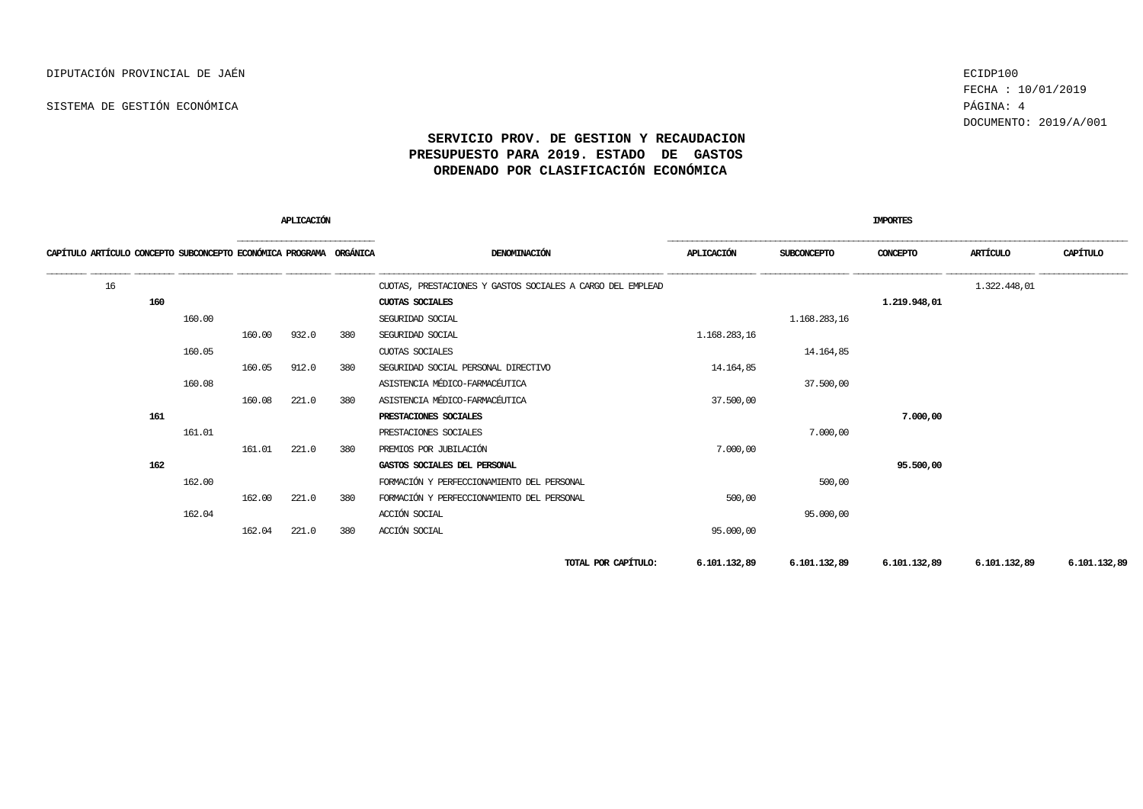FECHA : 10/01/2019 DOCUMENTO: 2019/A/001

|                                                                    |        |        | APLICACIÓN |     |                                                            |                 |              | <b>IMPORTES</b> |              |              |
|--------------------------------------------------------------------|--------|--------|------------|-----|------------------------------------------------------------|-----------------|--------------|-----------------|--------------|--------------|
| CAPÍTULO ARTÍCULO CONCEPTO SUBCONCEPTO ECONÓMICA PROGRAMA ORGÁNICA |        |        |            |     | DENOMINACIÓN                                               | APLICACIÓN      | SUBCONCEPTO  | CONCEPTO        | ARTÍCULO     | CAPÍTULO     |
| 16                                                                 |        |        |            |     | CUOTAS, PRESTACIONES Y GASTOS SOCIALES A CARGO DEL EMPLEAD |                 |              |                 | 1.322.448,01 |              |
| 160                                                                |        |        |            |     | CUOTAS SOCIALES                                            |                 |              | 1.219.948,01    |              |              |
|                                                                    | 160.00 |        |            |     | SEGURIDAD SOCIAL                                           |                 | 1.168.283,16 |                 |              |              |
|                                                                    |        | 160.00 | 932.0      | 380 | SEGURIDAD SOCIAL                                           | 1, 168, 283, 16 |              |                 |              |              |
|                                                                    | 160.05 |        |            |     | CUOTAS SOCIALES                                            |                 | 14.164,85    |                 |              |              |
|                                                                    |        | 160.05 | 912.0      | 380 | SEGURIDAD SOCIAL PERSONAL DIRECTIVO                        | 14.164,85       |              |                 |              |              |
|                                                                    | 160.08 |        |            |     | ASISTENCIA MÉDICO-FARMACÉUTICA                             |                 | 37.500,00    |                 |              |              |
|                                                                    |        | 160.08 | 221.0      | 380 | ASISTENCIA MÉDICO-FARMACÉUTICA                             | 37,500,00       |              |                 |              |              |
| 161                                                                |        |        |            |     | PRESTACIONES SOCIALES                                      |                 |              | 7.000,00        |              |              |
|                                                                    | 161.01 |        |            |     | PRESTACIONES SOCIALES                                      |                 | 7.000,00     |                 |              |              |
|                                                                    |        | 161.01 | 221.0      | 380 | PREMIOS POR JUBILACIÓN                                     | 7,000,00        |              |                 |              |              |
| 162                                                                |        |        |            |     | GASTOS SOCIALES DEL PERSONAL                               |                 |              | 95.500,00       |              |              |
|                                                                    | 162.00 |        |            |     | FORMACIÓN Y PERFECCIONAMIENTO DEL PERSONAL                 |                 | 500,00       |                 |              |              |
|                                                                    |        | 162.00 | 221.0      | 380 | FORMACIÓN Y PERFECCIONAMIENTO DEL PERSONAL                 | 500,00          |              |                 |              |              |
|                                                                    | 162.04 |        |            |     | ACCIÓN SOCIAL                                              |                 | 95,000,00    |                 |              |              |
|                                                                    |        | 162.04 | 221.0      | 380 | ACCIÓN SOCIAL                                              | 95.000,00       |              |                 |              |              |
|                                                                    |        |        |            |     | TOTAL POR CAPÍTULO:                                        | 6.101.132,89    | 6.101.132,89 | 6.101.132,89    | 6.101.132,89 | 6.101.132,89 |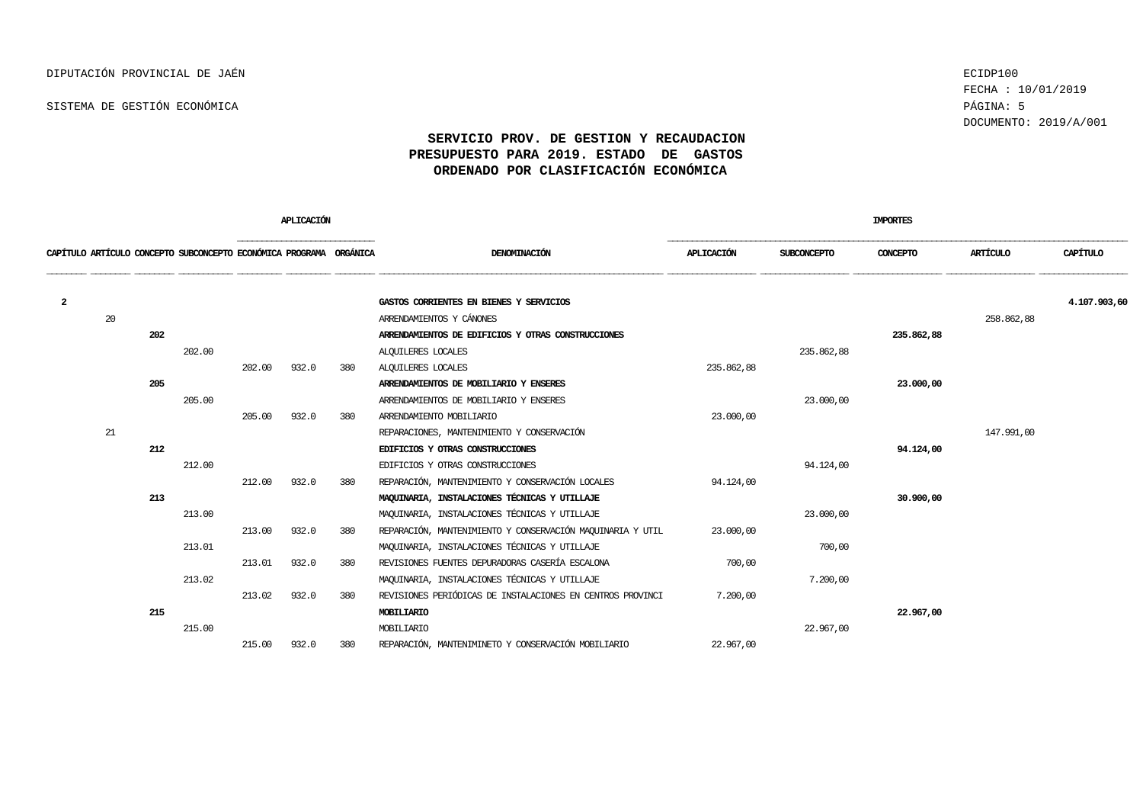FECHA : 10/01/2019 DOCUMENTO: 2019/A/001

|   |    |     |                                                                    |        | APLICACIÓN |     |                                                            |            |                    | <b>IMPORTES</b> |            |              |
|---|----|-----|--------------------------------------------------------------------|--------|------------|-----|------------------------------------------------------------|------------|--------------------|-----------------|------------|--------------|
|   |    |     | CAPÍTULO ARTÍCULO CONCEPTO SUBCONCEPTO ECONÓMICA PROGRAMA ORGÁNICA |        |            |     | DENOMINACIÓN                                               | APLICACIÓN | <b>SUBCONCEPTO</b> | CONCEPTO        | ARTÍCULO   | CAPÍTULO     |
| 2 |    |     |                                                                    |        |            |     | GASTOS CORRIENTES EN BIENES Y SERVICIOS                    |            |                    |                 |            | 4.107.903,60 |
|   | 20 |     |                                                                    |        |            |     | ARRENDAMIENTOS Y CÁNONES                                   |            |                    |                 | 258.862,88 |              |
|   |    | 202 |                                                                    |        |            |     | ARRENDAMIENTOS DE EDIFICIOS Y OTRAS CONSTRUCCIONES         |            |                    | 235.862,88      |            |              |
|   |    |     | 202.00                                                             |        |            |     | ALQUILERES LOCALES                                         |            | 235.862,88         |                 |            |              |
|   |    |     |                                                                    | 202.00 | 932.0      | 380 | ALQUILERES LOCALES                                         | 235.862,88 |                    |                 |            |              |
|   |    | 205 |                                                                    |        |            |     | ARRENDAMIENTOS DE MOBILIARIO Y ENSERES                     |            |                    | 23.000,00       |            |              |
|   |    |     | 205.00                                                             |        |            |     | ARRENDAMIENTOS DE MOBILIARIO Y ENSERES                     |            | 23,000,00          |                 |            |              |
|   |    |     |                                                                    | 205.00 | 932.0      | 380 | ARRENDAMIENTO MOBILIARIO                                   | 23,000,00  |                    |                 |            |              |
|   | 21 |     |                                                                    |        |            |     | REPARACIONES, MANTENIMIENTO Y CONSERVACIÓN                 |            |                    |                 | 147.991,00 |              |
|   |    | 212 |                                                                    |        |            |     | EDIFICIOS Y OTRAS CONSTRUCCIONES                           |            |                    | 94.124,00       |            |              |
|   |    |     | 212.00                                                             |        |            |     | EDIFICIOS Y OTRAS CONSTRUCCIONES                           |            | 94.124.00          |                 |            |              |
|   |    |     |                                                                    | 212.00 | 932.0      | 380 | REPARACIÓN, MANTENIMIENTO Y CONSERVACIÓN LOCALES           | 94.124,00  |                    |                 |            |              |
|   |    | 213 |                                                                    |        |            |     | MAQUINARIA, INSTALACIONES TÉCNICAS Y UTILIAJE              |            |                    | 30.900,00       |            |              |
|   |    |     | 213.00                                                             |        |            |     | MAQUINARIA, INSTALACIONES TÉCNICAS Y UTILIAJE              |            | 23,000,00          |                 |            |              |
|   |    |     |                                                                    | 213.00 | 932.0      | 380 | REPARACIÓN, MANTENIMIENTO Y CONSERVACIÓN MAQUINARIA Y UTIL | 23,000,00  |                    |                 |            |              |
|   |    |     | 213.01                                                             |        |            |     | MAOUINARIA, INSTALACIONES TÉCNICAS Y UTILLAJE              |            | 700,00             |                 |            |              |
|   |    |     |                                                                    | 213.01 | 932.0      | 380 | REVISIONES FUENTES DEPURADORAS CASERÍA ESCALONA            | 700,00     |                    |                 |            |              |
|   |    |     | 213.02                                                             |        |            |     | MAQUINARIA, INSTALACIONES TÉCNICAS Y UTILIAJE              |            | 7,200,00           |                 |            |              |
|   |    |     |                                                                    | 213.02 | 932.0      | 380 | REVISIONES PERIÓDICAS DE INSTALACIONES EN CENTROS PROVINCI | 7,200,00   |                    |                 |            |              |
|   |    | 215 |                                                                    |        |            |     | <b>MOBILIARIO</b>                                          |            |                    | 22.967,00       |            |              |
|   |    |     | 215.00                                                             |        |            |     | MOBILIARIO                                                 |            | 22.967,00          |                 |            |              |
|   |    |     |                                                                    | 215.00 | 932.0      | 380 | REPARACIÓN, MANTENIMINETO Y CONSERVACIÓN MOBILIARIO        | 22,967,00  |                    |                 |            |              |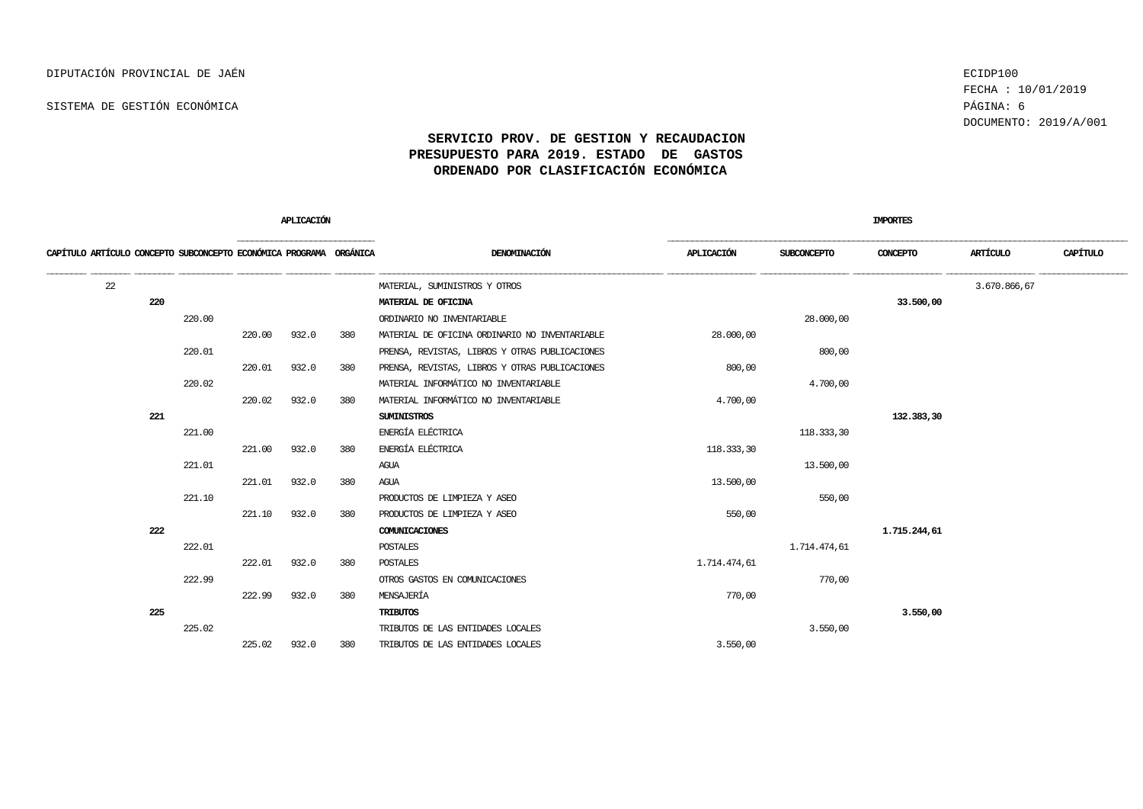FECHA : 10/01/2019 DOCUMENTO: 2019/A/001

|                                                                    |        |        | APLICACIÓN |     |                                                |              |              | IMPORTES     |              |          |
|--------------------------------------------------------------------|--------|--------|------------|-----|------------------------------------------------|--------------|--------------|--------------|--------------|----------|
| CAPÍTULO ARTÍCULO CONCEPTO SUBCONCEPTO ECONÓMICA PROGRAMA ORGÁNICA |        |        |            |     | DENOMINACIÓN                                   | APLICACIÓN   | SUBCONCEPTO  | CONCEPTO     | ARTÍCULO     | CAPÍTULO |
| 22                                                                 |        |        |            |     | MATERIAL, SUMINISTROS Y OTROS                  |              |              |              | 3.670.866,67 |          |
|                                                                    | 220    |        |            |     | MATERIAL DE OFICINA                            |              |              | 33.500,00    |              |          |
|                                                                    | 220.00 |        |            |     | ORDINARIO NO INVENTARIABLE                     |              | 28,000,00    |              |              |          |
|                                                                    |        | 220.00 | 932.0      | 380 | MATERIAL DE OFICINA ORDINARIO NO INVENTARIABLE | 28,000,00    |              |              |              |          |
|                                                                    | 220.01 |        |            |     | PRENSA, REVISTAS, LIBROS Y OTRAS PUBLICACIONES |              | 800,00       |              |              |          |
|                                                                    |        | 220.01 | 932.0      | 380 | PRENSA, REVISTAS, LIBROS Y OTRAS PUBLICACIONES | 800,00       |              |              |              |          |
|                                                                    | 220.02 |        |            |     | MATERIAL INFORMÁTICO NO INVENTARIABLE          |              | 4.700,00     |              |              |          |
|                                                                    |        | 220.02 | 932.0      | 380 | MATERIAL INFORMÁTICO NO INVENTARIABLE          | 4.700,00     |              |              |              |          |
|                                                                    | 221    |        |            |     | <b>SUMINISTROS</b>                             |              |              | 132.383,30   |              |          |
|                                                                    | 221.00 |        |            |     | ENERGÍA ELÉCTRICA                              |              | 118.333,30   |              |              |          |
|                                                                    |        | 221.00 | 932.0      | 380 | ENERGÍA ELÉCTRICA                              | 118.333,30   |              |              |              |          |
|                                                                    | 221.01 |        |            |     | AGUA                                           |              | 13,500,00    |              |              |          |
|                                                                    |        | 221.01 | 932.0      | 380 | AGUA                                           | 13.500,00    |              |              |              |          |
|                                                                    | 221.10 |        |            |     | PRODUCTOS DE LIMPIEZA Y ASEO                   |              | 550,00       |              |              |          |
|                                                                    |        | 221.10 | 932.0      | 380 | PRODUCTOS DE LIMPIEZA Y ASEO                   | 550,00       |              |              |              |          |
|                                                                    | 222    |        |            |     | COMUNICACIONES                                 |              |              | 1.715.244,61 |              |          |
|                                                                    | 222.01 |        |            |     | <b>POSTALES</b>                                |              | 1.714.474,61 |              |              |          |
|                                                                    |        | 222.01 | 932.0      | 380 | POSTALES                                       | 1.714.474,61 |              |              |              |          |
|                                                                    | 222.99 |        |            |     | OTROS GASTOS EN COMUNICACIONES                 |              | 770,00       |              |              |          |
|                                                                    |        | 222.99 | 932.0      | 380 | MENSAJERÍA                                     | 770,00       |              |              |              |          |
|                                                                    | 225    |        |            |     | <b>TRIBUTOS</b>                                |              |              | 3.550,00     |              |          |
|                                                                    | 225.02 |        |            |     | TRIBUTOS DE LAS ENTIDADES LOCALES              |              | 3.550,00     |              |              |          |
|                                                                    |        | 225.02 | 932.0      | 380 | TRIBUTOS DE LAS ENTIDADES LOCALES              | 3.550,00     |              |              |              |          |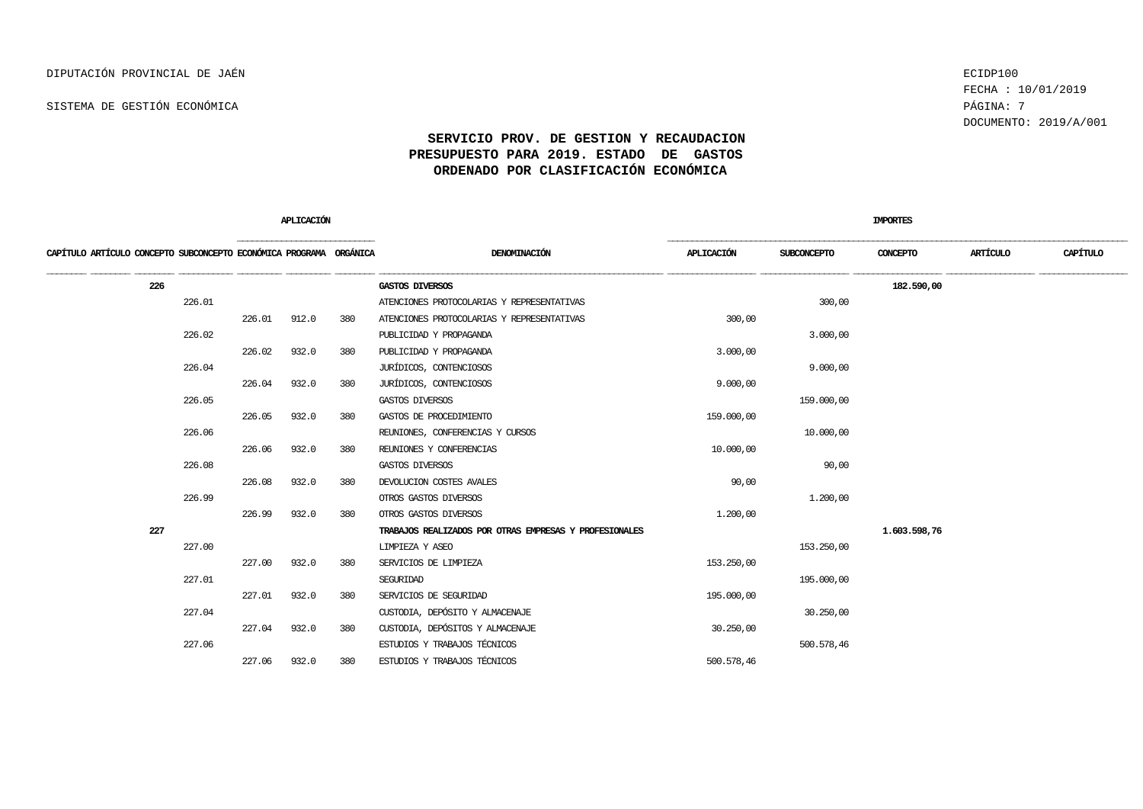FECHA : 10/01/2019 DOCUMENTO: 2019/A/001

|                                                                    |        | APLICACIÓN |       |     |                                                        |            | <b>IMPORTES</b> |              |          |          |
|--------------------------------------------------------------------|--------|------------|-------|-----|--------------------------------------------------------|------------|-----------------|--------------|----------|----------|
| CAPÍTULO ARTÍCULO CONCEPTO SUBCONCEPTO ECONÓMICA PROGRAMA ORGÁNICA |        |            |       |     | DENOMINACIÓN                                           | APLICACIÓN | SUBCONCEPTO     | CONCEPTO     | ARTÍCULO | CAPÍTULO |
| 226                                                                |        |            |       |     | GASTOS DIVERSOS                                        |            |                 | 182.590,00   |          |          |
|                                                                    | 226.01 |            |       |     | ATENCIONES PROTOCOLARIAS Y REPRESENTATIVAS             |            | 300,00          |              |          |          |
|                                                                    |        | 226.01     | 912.0 | 380 | ATENCIONES PROTOCOLARIAS Y REPRESENTATIVAS             | 300,00     |                 |              |          |          |
|                                                                    | 226.02 |            |       |     | PUBLICIDAD Y PROPAGANDA                                |            | 3.000,00        |              |          |          |
|                                                                    |        | 226.02     | 932.0 | 380 | PUBLICIDAD Y PROPAGANDA                                | 3.000,00   |                 |              |          |          |
|                                                                    | 226.04 |            |       |     | JURÍDICOS, CONTENCIOSOS                                |            | 9.000,00        |              |          |          |
|                                                                    |        | 226.04     | 932.0 | 380 | JURÍDICOS, CONTENCIOSOS                                | 9.000,00   |                 |              |          |          |
|                                                                    | 226.05 |            |       |     | GASTOS DIVERSOS                                        |            | 159.000,00      |              |          |          |
|                                                                    |        | 226.05     | 932.0 | 380 | GASTOS DE PROCEDIMIENTO                                | 159,000,00 |                 |              |          |          |
|                                                                    | 226.06 |            |       |     | REUNIONES, CONFERENCIAS Y CURSOS                       |            | 10,000,00       |              |          |          |
|                                                                    |        | 226.06     | 932.0 | 380 | REUNIONES Y CONFERENCIAS                               | 10.000,00  |                 |              |          |          |
|                                                                    | 226.08 |            |       |     | GASTOS DIVERSOS                                        |            | 90,00           |              |          |          |
|                                                                    |        | 226.08     | 932.0 | 380 | DEVOLUCION COSTES AVALES                               | 90,00      |                 |              |          |          |
|                                                                    | 226.99 |            |       |     | OTROS GASTOS DIVERSOS                                  |            | 1.200,00        |              |          |          |
|                                                                    |        | 226.99     | 932.0 | 380 | OTROS GASTOS DIVERSOS                                  | 1,200,00   |                 |              |          |          |
| 227                                                                |        |            |       |     | TRABAJOS REALIZADOS POR OTRAS EMPRESAS Y PROFESIONALES |            |                 | 1,603.598,76 |          |          |
|                                                                    | 227.00 |            |       |     | LIMPIEZA Y ASEO                                        |            | 153.250,00      |              |          |          |
|                                                                    |        | 227.00     | 932.0 | 380 | SERVICIOS DE LIMPIEZA                                  | 153.250,00 |                 |              |          |          |
|                                                                    | 227.01 |            |       |     | SEGURIDAD                                              |            | 195,000,00      |              |          |          |
|                                                                    |        | 227.01     | 932.0 | 380 | SERVICIOS DE SEGURIDAD                                 | 195.000,00 |                 |              |          |          |
|                                                                    | 227.04 |            |       |     | CUSTODIA, DEPÓSITO Y ALMACENAJE                        |            | 30,250,00       |              |          |          |
|                                                                    |        | 227.04     | 932.0 | 380 | CUSTODIA, DEPÓSITOS Y ALMACENAJE                       | 30,250,00  |                 |              |          |          |
|                                                                    | 227.06 |            |       |     | ESTUDIOS Y TRABAJOS TÉCNICOS                           |            | 500.578,46      |              |          |          |
|                                                                    |        | 227.06     | 932.0 | 380 | ESTUDIOS Y TRABAJOS TÉCNICOS                           | 500.578,46 |                 |              |          |          |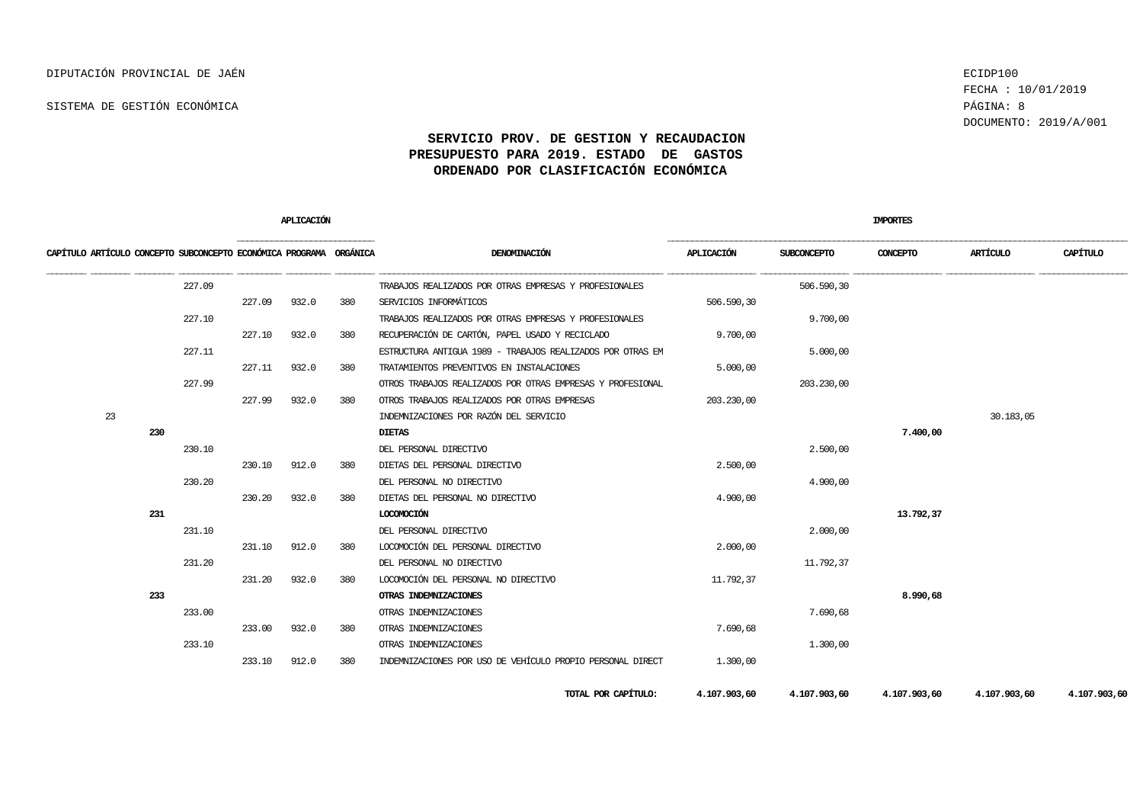FECHA : 10/01/2019 DOCUMENTO: 2019/A/001

|                                                                    |     |        |        | <b>APLICACIÓN</b> |     |                                                            |              |                    | <b>IMPORTES</b> |              |              |
|--------------------------------------------------------------------|-----|--------|--------|-------------------|-----|------------------------------------------------------------|--------------|--------------------|-----------------|--------------|--------------|
| CAPÍTULO ARTÍCULO CONCEPTO SUBCONCEPTO ECONÓMICA PROGRAMA ORGÁNICA |     |        |        |                   |     | DENOMINACIÓN                                               | APLICACIÓN   | <b>SUBCONCEPTO</b> | CONCEPTO        | ARTÍCULO     | CAPÍTULO     |
|                                                                    |     | 227.09 |        |                   |     | TRABAJOS REALIZADOS POR OTRAS EMPRESAS Y PROFESIONALES     |              | 506.590,30         |                 |              |              |
|                                                                    |     |        | 227.09 | 932.0             | 380 | SERVICIOS INFORMÁTICOS                                     | 506.590,30   |                    |                 |              |              |
|                                                                    |     | 227.10 |        |                   |     | TRABAJOS REALIZADOS POR OTRAS EMPRESAS Y PROFESIONALES     |              | 9.700,00           |                 |              |              |
|                                                                    |     |        | 227.10 | 932.0             | 380 | RECUPERACIÓN DE CARTÓN, PAPEL USADO Y RECICLADO            | 9,700,00     |                    |                 |              |              |
|                                                                    |     | 227.11 |        |                   |     | ESTRUCTURA ANTIGUA 1989 - TRABAJOS REALIZADOS POR OTRAS EM |              | 5.000,00           |                 |              |              |
|                                                                    |     |        | 227.11 | 932.0             | 380 | TRATAMIENTOS PREVENTIVOS EN INSTALACIONES                  | 5.000,00     |                    |                 |              |              |
|                                                                    |     | 227.99 |        |                   |     | OTROS TRABAJOS REALIZADOS POR OTRAS EMPRESAS Y PROFESIONAL |              | 203.230,00         |                 |              |              |
|                                                                    |     |        | 227.99 | 932.0             | 380 | OTROS TRABAJOS REALIZADOS POR OTRAS EMPRESAS               | 203.230,00   |                    |                 |              |              |
| 23                                                                 |     |        |        |                   |     | INDEMNIZACIONES POR RAZÓN DEL SERVICIO                     |              |                    |                 | 30.183,05    |              |
|                                                                    | 230 |        |        |                   |     | <b>DIETAS</b>                                              |              |                    | 7.400,00        |              |              |
|                                                                    |     | 230.10 |        |                   |     | DEL PERSONAL DIRECTIVO                                     |              | 2.500,00           |                 |              |              |
|                                                                    |     |        | 230.10 | 912.0             | 380 | DIETAS DEL PERSONAL DIRECTIVO                              | 2.500,00     |                    |                 |              |              |
|                                                                    |     | 230.20 |        |                   |     | DEL PERSONAL NO DIRECTIVO                                  |              | 4,900,00           |                 |              |              |
|                                                                    |     |        | 230.20 | 932.0             | 380 | DIETAS DEL PERSONAL NO DIRECTIVO                           | 4,900,00     |                    |                 |              |              |
|                                                                    | 231 |        |        |                   |     | LOCOMOCIÓN                                                 |              |                    | 13.792,37       |              |              |
|                                                                    |     | 231.10 |        |                   |     | DEL PERSONAL DIRECTIVO                                     |              | 2,000,00           |                 |              |              |
|                                                                    |     |        | 231.10 | 912.0             | 380 | LOCOMOCIÓN DEL PERSONAL DIRECTIVO                          | 2,000,00     |                    |                 |              |              |
|                                                                    |     | 231.20 |        |                   |     | DEL PERSONAL NO DIRECTIVO                                  |              | 11.792,37          |                 |              |              |
|                                                                    |     |        | 231.20 | 932.0             | 380 | LOCOMOCIÓN DEL PERSONAL NO DIRECTIVO                       | 11.792,37    |                    |                 |              |              |
|                                                                    | 233 |        |        |                   |     | <b>OTRAS INDEMNIZACIONES</b>                               |              |                    | 8.990,68        |              |              |
|                                                                    |     | 233.00 |        |                   |     | OTRAS INDEMNIZACIONES                                      |              | 7.690,68           |                 |              |              |
|                                                                    |     |        | 233.00 | 932.0             | 380 | OTRAS INDEMNIZACIONES                                      | 7.690,68     |                    |                 |              |              |
|                                                                    |     | 233.10 |        |                   |     | OTRAS INDEMNIZACIONES                                      |              | 1,300,00           |                 |              |              |
|                                                                    |     |        | 233.10 | 912.0             | 380 | INDEMNIZACIONES POR USO DE VEHÍCULO PROPIO PERSONAL DIRECT | 1,300,00     |                    |                 |              |              |
|                                                                    |     |        |        |                   |     | TOTAL POR CAPÍTULO:                                        | 4.107.903,60 | 4.107.903,60       | 4.107.903,60    | 4.107.903,60 | 4.107.903,60 |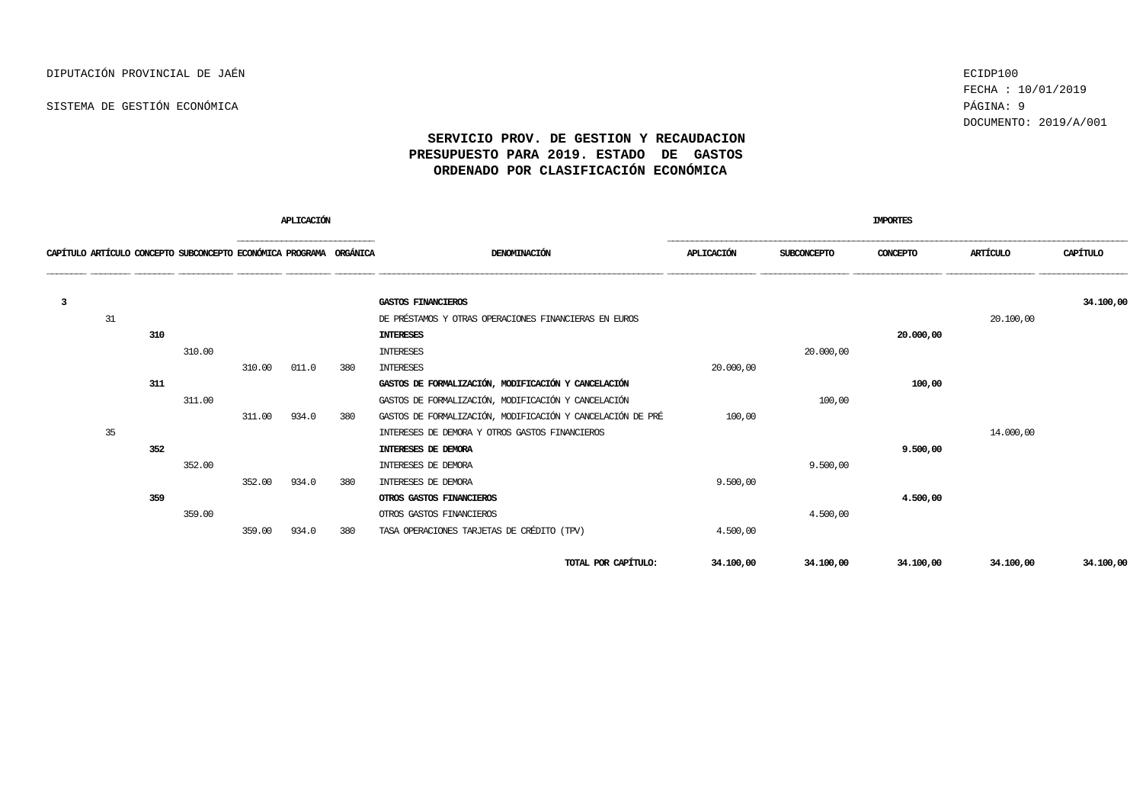SISTEMA DE GESTIÓN ECONÓMICA **Página: 9** 

FECHA : 10/01/2019 DOCUMENTO: 2019/A/001

| <b>APLICACIÓN</b> |    |     |                                                                    |        |       |     |                                                            |                   |             | <b>IMPORTES</b> |           |           |
|-------------------|----|-----|--------------------------------------------------------------------|--------|-------|-----|------------------------------------------------------------|-------------------|-------------|-----------------|-----------|-----------|
|                   |    |     | CAPÍTULO ARTÍCULO CONCEPTO SUBCONCEPTO ECONÓMICA PROGRAMA ORGÁNICA |        |       |     | DENOMINACIÓN                                               | <b>APLICACIÓN</b> | SUBCONCEPTO | CONCEPTO        | ARTÍCULO  | CAPÍTULO  |
| 3                 |    |     |                                                                    |        |       |     | GASTOS FINANCIEROS                                         |                   |             |                 |           | 34.100,00 |
|                   | 31 |     |                                                                    |        |       |     | DE PRÉSTAMOS Y OTRAS OPERACIONES FINANCIERAS EN EUROS      |                   |             |                 | 20,100,00 |           |
|                   |    | 310 |                                                                    |        |       |     | <b>INTERESES</b>                                           |                   |             | 20,000,00       |           |           |
|                   |    |     | 310.00                                                             |        |       |     | <b>INTERESES</b>                                           |                   | 20.000,00   |                 |           |           |
|                   |    |     |                                                                    | 310.00 | 011.0 | 380 | <b>INTERESES</b>                                           | 20,000,00         |             |                 |           |           |
|                   |    | 311 |                                                                    |        |       |     | GASTOS DE FORMALIZACIÓN, MODIFICACIÓN Y CANCELACIÓN        |                   |             | 100,00          |           |           |
|                   |    |     | 311.00                                                             |        |       |     | GASTOS DE FORMALIZACIÓN, MODIFICACIÓN Y CANCELACIÓN        |                   | 100,00      |                 |           |           |
|                   |    |     |                                                                    | 311.00 | 934.0 | 380 | GASTOS DE FORMALIZACIÓN, MODIFICACIÓN Y CANCELACIÓN DE PRÉ | 100,00            |             |                 |           |           |
|                   | 35 |     |                                                                    |        |       |     | INTERESES DE DEMORA Y OTROS GASTOS FINANCIEROS             |                   |             |                 | 14,000,00 |           |
|                   |    | 352 |                                                                    |        |       |     | INTERESES DE DEMORA                                        |                   |             | 9.500,00        |           |           |
|                   |    |     | 352.00                                                             |        |       |     | INTERESES DE DEMORA                                        |                   | 9,500,00    |                 |           |           |
|                   |    |     |                                                                    | 352.00 | 934.0 | 380 | INTERESES DE DEMORA                                        | 9.500,00          |             |                 |           |           |
|                   |    | 359 |                                                                    |        |       |     | OTROS GASTOS FINANCIEROS                                   |                   |             | 4,500,00        |           |           |
|                   |    |     | 359.00                                                             |        |       |     | OTROS GASTOS FINANCIEROS                                   |                   | 4.500,00    |                 |           |           |
|                   |    |     |                                                                    | 359.00 | 934.0 | 380 | TASA OPERACIONES TARJETAS DE CRÉDITO (TPV)                 | 4.500,00          |             |                 |           |           |
|                   |    |     |                                                                    |        |       |     | TOTAL POR CAPÍTULO:                                        | 34.100,00         | 34.100,00   | 34,100,00       | 34.100,00 | 34,100,00 |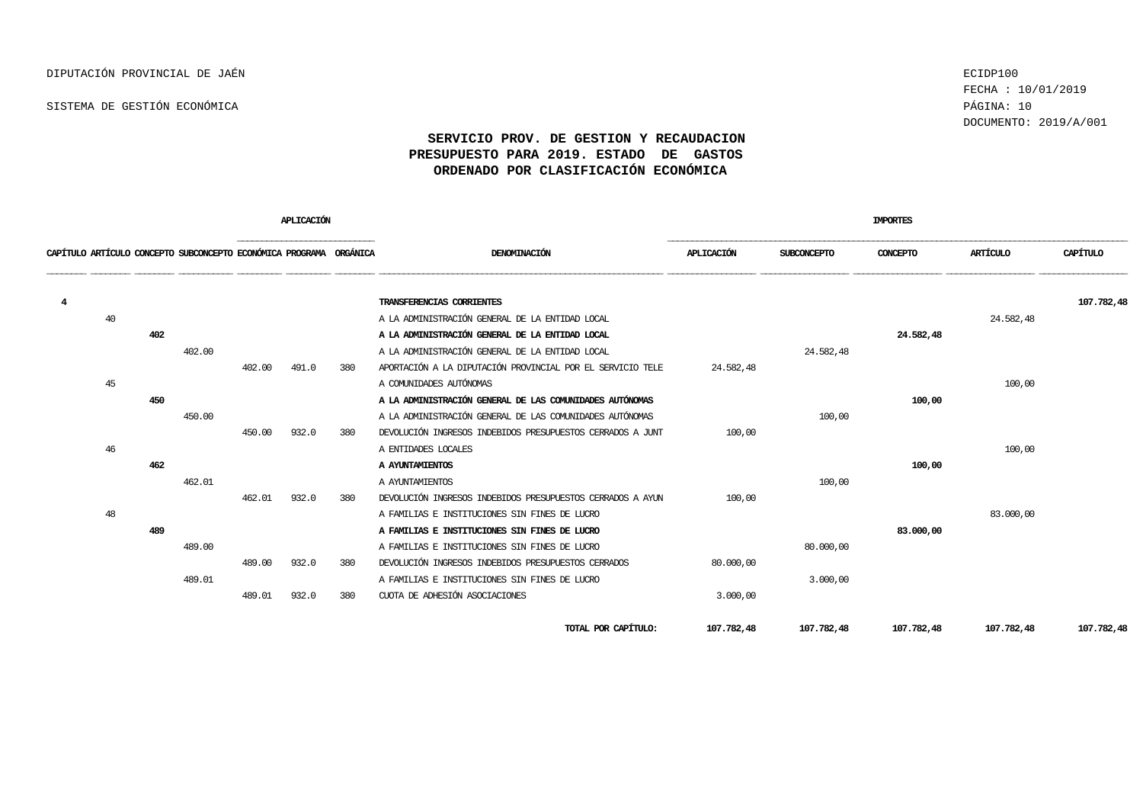FECHA : 10/01/2019 DOCUMENTO: 2019/A/001

|   |    |     |                                                                    |        | APLICACIÓN |     |                                                            |            |                    | <b>IMPORTES</b> |            |            |
|---|----|-----|--------------------------------------------------------------------|--------|------------|-----|------------------------------------------------------------|------------|--------------------|-----------------|------------|------------|
|   |    |     | CAPÍTULO ARTÍCULO CONCEPTO SUBCONCEPTO ECONÓMICA PROGRAMA ORGÁNICA |        |            |     | DENOMINACIÓN                                               | APLICACIÓN | <b>SUBCONCEPTO</b> | CONCEPTO        | ARTÍCULO   | CAPÍTULO   |
| 4 |    |     |                                                                    |        |            |     | TRANSFERENCIAS CORRIENTES                                  |            |                    |                 |            | 107.782,48 |
|   | 40 |     |                                                                    |        |            |     | A LA ADMINISTRACIÓN GENERAL DE LA ENTIDAD LOCAL            |            |                    |                 | 24.582,48  |            |
|   |    | 402 |                                                                    |        |            |     | A LA ADMINISTRACIÓN GENERAL DE LA ENTIDAD LOCAL            |            |                    | 24.582,48       |            |            |
|   |    |     | 402.00                                                             |        |            |     | A LA ADMINISTRACIÓN GENERAL DE LA ENTIDAD LOCAL            |            | 24.582,48          |                 |            |            |
|   |    |     |                                                                    | 402.00 | 491.0      | 380 | APORTACIÓN A LA DIPUTACIÓN PROVINCIAL POR EL SERVICIO TELE | 24.582.48  |                    |                 |            |            |
|   | 45 |     |                                                                    |        |            |     | A COMUNIDADES AUTÓNOMAS                                    |            |                    |                 | 100,00     |            |
|   |    | 450 |                                                                    |        |            |     | A LA ADMINISTRACIÓN GENERAL DE LAS COMUNIDADES AUTÓNOMAS   |            |                    | 100,00          |            |            |
|   |    |     | 450.00                                                             |        |            |     | A LA ADMINISTRACIÓN GENERAL DE LAS COMUNIDADES AUTÓNOMAS   |            | 100,00             |                 |            |            |
|   |    |     |                                                                    | 450.00 | 932.0      | 380 | DEVOLUCIÓN INGRESOS INDEBIDOS PRESUPUESTOS CERRADOS A JUNT | 100,00     |                    |                 |            |            |
|   | 46 |     |                                                                    |        |            |     | A ENTIDADES LOCALES                                        |            |                    |                 | 100,00     |            |
|   |    | 462 |                                                                    |        |            |     | A AYUNTAMIENTOS                                            |            |                    | 100,00          |            |            |
|   |    |     | 462.01                                                             |        |            |     | A AYUNTAMIENTOS                                            |            | 100,00             |                 |            |            |
|   |    |     |                                                                    | 462.01 | 932.0      | 380 | DEVOLUCIÓN INGRESOS INDEBIDOS PRESUPUESTOS CERRADOS A AYUN | 100,00     |                    |                 |            |            |
|   | 48 |     |                                                                    |        |            |     | A FAMILIAS E INSTITUCIONES SIN FINES DE LUCRO              |            |                    |                 | 83.000,00  |            |
|   |    | 489 |                                                                    |        |            |     | A FAMILIAS E INSTITUCIONES SIN FINES DE LUCRO              |            |                    | 83.000,00       |            |            |
|   |    |     | 489.00                                                             |        |            |     | A FAMILIAS E INSTITUCIONES SIN FINES DE LUCRO              |            | 80,000,00          |                 |            |            |
|   |    |     |                                                                    | 489.00 | 932.0      | 380 | DEVOLUCIÓN INGRESOS INDEBIDOS PRESUPUESTOS CERRADOS        | 80,000,00  |                    |                 |            |            |
|   |    |     | 489.01                                                             |        |            |     | A FAMILIAS E INSTITUCIONES SIN FINES DE LUCRO              |            | 3.000,00           |                 |            |            |
|   |    |     |                                                                    | 489.01 | 932.0      | 380 | CUOTA DE ADHESIÓN ASOCIACIONES                             | 3.000,00   |                    |                 |            |            |
|   |    |     |                                                                    |        |            |     | TOTAL POR CAPÍTULO:                                        | 107.782,48 | 107.782,48         | 107.782,48      | 107.782,48 | 107.782,48 |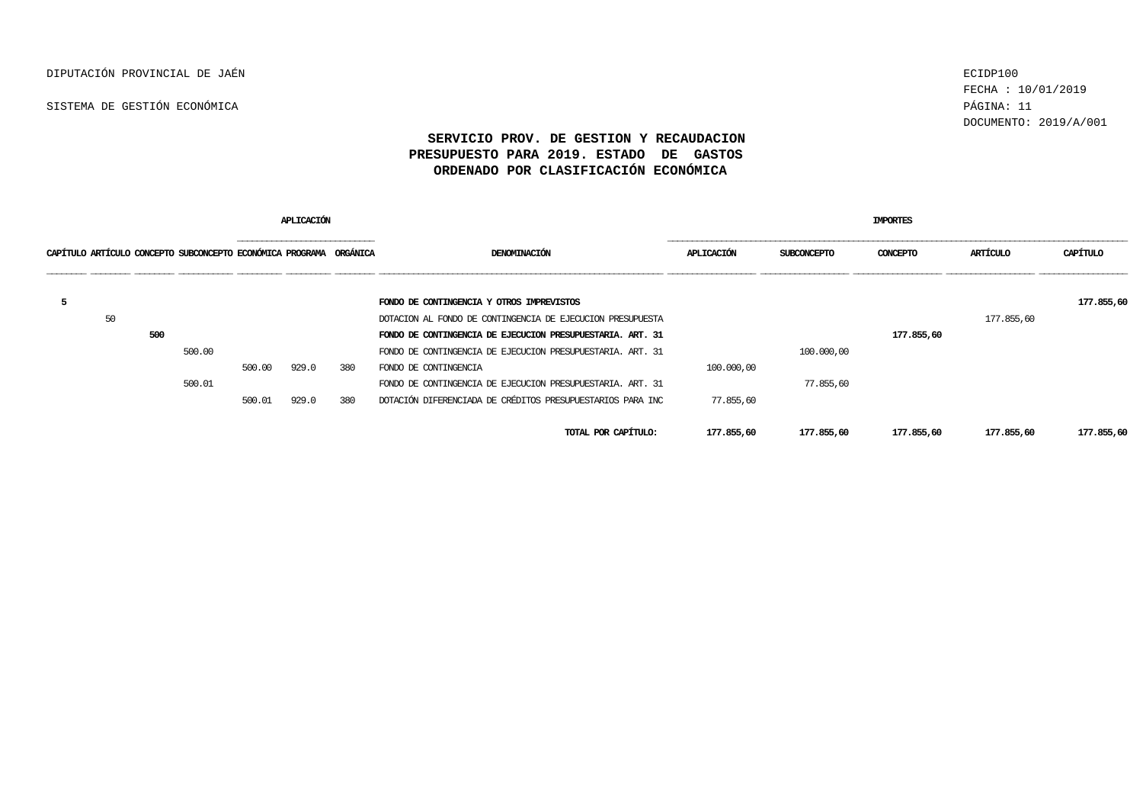FECHA : 10/01/2019 DOCUMENTO: 2019/A/001

|   |    |     |                                                                    |        | APLICACIÓN |     |                                                            |            |             | IMPORTES   |            |            |
|---|----|-----|--------------------------------------------------------------------|--------|------------|-----|------------------------------------------------------------|------------|-------------|------------|------------|------------|
|   |    |     | CAPÍTULO ARTÍCULO CONCEPTO SUBCONCEPTO ECONÓMICA PROGRAMA ORGÁNICA |        |            |     | DENOMINACIÓN                                               | APLICACIÓN | SUBCONCEPTO | CONCEPTO   | ARTÍCULO   | CAPÍTULO   |
| 5 |    |     |                                                                    |        |            |     | FONDO DE CONTINGENCIA Y OTROS IMPREVISTOS                  |            |             |            |            | 177.855,60 |
|   | 50 |     |                                                                    |        |            |     | DOTACION AL FONDO DE CONTINGENCIA DE EJECUCION PRESUPUESTA |            |             |            | 177.855,60 |            |
|   |    | 500 |                                                                    |        |            |     | FONDO DE CONTINGENCIA DE EJECUCION PRESUPUESTARIA. ART. 31 |            |             | 177.855,60 |            |            |
|   |    |     | 500.00                                                             |        |            |     | FONDO DE CONTINGENCIA DE EJECUCION PRESUPUESTARIA. ART. 31 |            | 100.000,00  |            |            |            |
|   |    |     |                                                                    | 500.00 | 929.0      | 380 | FONDO DE CONTINGENCIA                                      | 100,000,00 |             |            |            |            |
|   |    |     | 500.01                                                             |        |            |     | FONDO DE CONTINGENCIA DE EJECUCION PRESUPUESTARIA. ART. 31 |            | 77.855,60   |            |            |            |
|   |    |     |                                                                    | 500.01 | 929.0      | 380 | DOTACIÓN DIFERENCIADA DE CRÉDITOS PRESUPUESTARIOS PARA INC | 77.855,60  |             |            |            |            |
|   |    |     |                                                                    |        |            |     | TOTAL POR CAPÍTULO:                                        | 177.855,60 | 177.855,60  | 177.855,60 | 177.855,60 | 177.855,60 |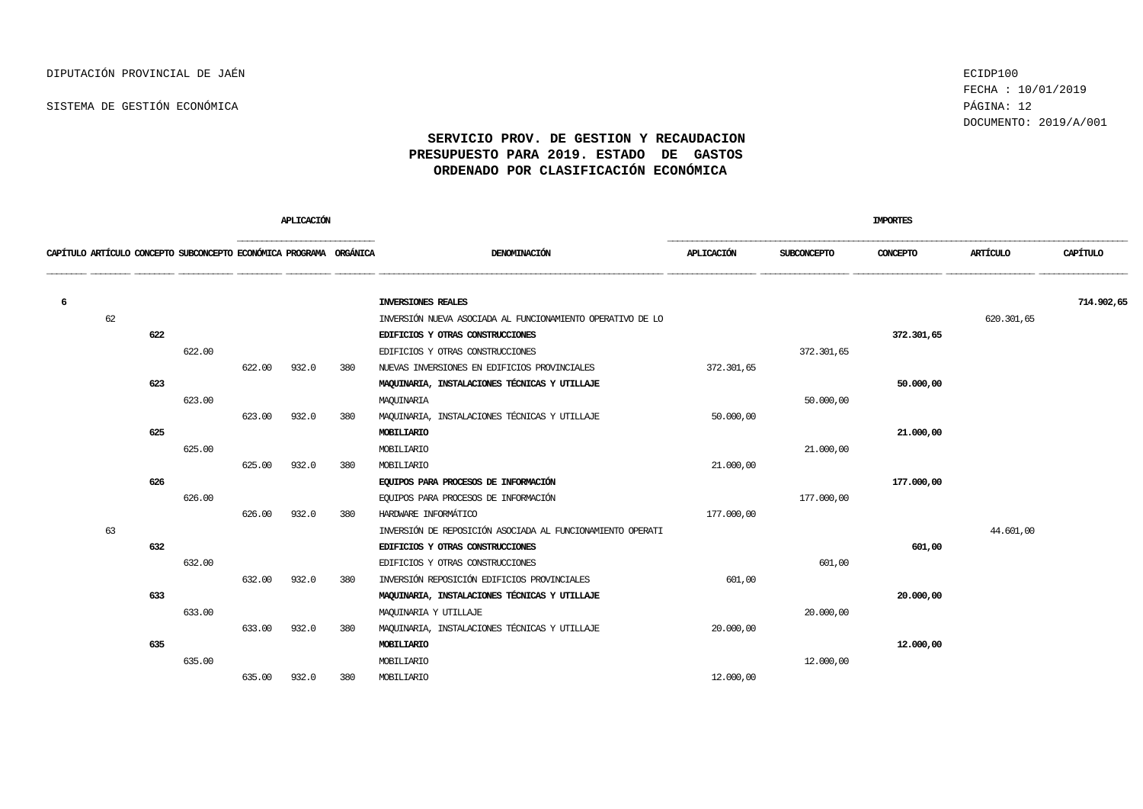FECHA : 10/01/2019 DOCUMENTO: 2019/A/001

|                                                                    |    |     |        |        | APLICACIÓN |     |                                                            |            |             | <b>IMPORTES</b> |            |            |
|--------------------------------------------------------------------|----|-----|--------|--------|------------|-----|------------------------------------------------------------|------------|-------------|-----------------|------------|------------|
| CAPÍTULO ARTÍCULO CONCEPTO SUBCONCEPTO ECONÓMICA PROGRAMA ORGÁNICA |    |     |        |        |            |     | DENOMINACIÓN                                               | APLICACIÓN | SUBCONCEPTO | CONCEPTO        | ARTÍCULO   | CAPÍTULO   |
| 6                                                                  |    |     |        |        |            |     | INVERSIONES REALES                                         |            |             |                 |            | 714.902,65 |
|                                                                    | 62 |     |        |        |            |     | INVERSIÓN NUEVA ASOCIADA AL FUNCIONAMIENTO OPERATIVO DE LO |            |             |                 | 620.301,65 |            |
|                                                                    |    | 622 |        |        |            |     | EDIFICIOS Y OTRAS CONSTRUCCIONES                           |            |             | 372.301,65      |            |            |
|                                                                    |    |     | 622.00 |        |            |     | EDIFICIOS Y OTRAS CONSTRUCCIONES                           |            | 372.301,65  |                 |            |            |
|                                                                    |    |     |        | 622.00 | 932.0      | 380 | NUEVAS INVERSIONES EN EDIFICIOS PROVINCIALES               | 372.301,65 |             |                 |            |            |
|                                                                    |    | 623 |        |        |            |     | MAQUINARIA, INSTALACIONES TÉCNICAS Y UTILLAJE              |            |             | 50,000,00       |            |            |
|                                                                    |    |     | 623.00 |        |            |     | MAQUINARIA                                                 |            | 50,000,00   |                 |            |            |
|                                                                    |    |     |        | 623.00 | 932.0      | 380 | MAQUINARIA, INSTALACIONES TÉCNICAS Y UTILLAJE              | 50,000,00  |             |                 |            |            |
|                                                                    |    | 625 |        |        |            |     | <b>MOBILIARIO</b>                                          |            |             | 21.000,00       |            |            |
|                                                                    |    |     | 625.00 |        |            |     | MOBILIARIO                                                 |            | 21.000,00   |                 |            |            |
|                                                                    |    |     |        | 625.00 | 932.0      | 380 | MOBILIARIO                                                 | 21.000,00  |             |                 |            |            |
|                                                                    |    | 626 |        |        |            |     | EQUIPOS PARA PROCESOS DE INFORMACIÓN                       |            |             | 177.000,00      |            |            |
|                                                                    |    |     | 626.00 |        |            |     | EQUIPOS PARA PROCESOS DE INFORMACIÓN                       |            | 177.000,00  |                 |            |            |
|                                                                    |    |     |        | 626.00 | 932.0      | 380 | HARDWARE INFORMÁTICO                                       | 177,000,00 |             |                 |            |            |
|                                                                    | 63 |     |        |        |            |     | INVERSIÓN DE REPOSICIÓN ASOCIADA AL FUNCIONAMIENTO OPERATI |            |             |                 | 44.601,00  |            |
|                                                                    |    | 632 |        |        |            |     | EDIFICIOS Y OTRAS CONSTRUCCIONES                           |            |             | 601,00          |            |            |
|                                                                    |    |     | 632.00 |        |            |     | EDIFICIOS Y OTRAS CONSTRUCCIONES                           |            | 601,00      |                 |            |            |
|                                                                    |    |     |        | 632.00 | 932.0      | 380 | INVERSIÓN REPOSICIÓN EDIFICIOS PROVINCIALES                | 601,00     |             |                 |            |            |
|                                                                    |    | 633 |        |        |            |     | MAQUINARIA, INSTALACIONES TÉCNICAS Y UTILLAJE              |            |             | 20,000,00       |            |            |
|                                                                    |    |     | 633.00 |        |            |     | MAQUINARIA Y UTILLAJE                                      |            | 20,000,00   |                 |            |            |
|                                                                    |    |     |        | 633.00 | 932.0      | 380 | MAQUINARIA, INSTALACIONES TÉCNICAS Y UTILLAJE              | 20,000,00  |             |                 |            |            |
|                                                                    |    | 635 |        |        |            |     | <b>MOBILIARIO</b>                                          |            |             | 12,000,00       |            |            |
|                                                                    |    |     | 635.00 |        |            |     | MOBILIARIO                                                 |            | 12.000,00   |                 |            |            |
|                                                                    |    |     |        | 635.00 | 932.0      | 380 | MOBILIARIO                                                 | 12.000,00  |             |                 |            |            |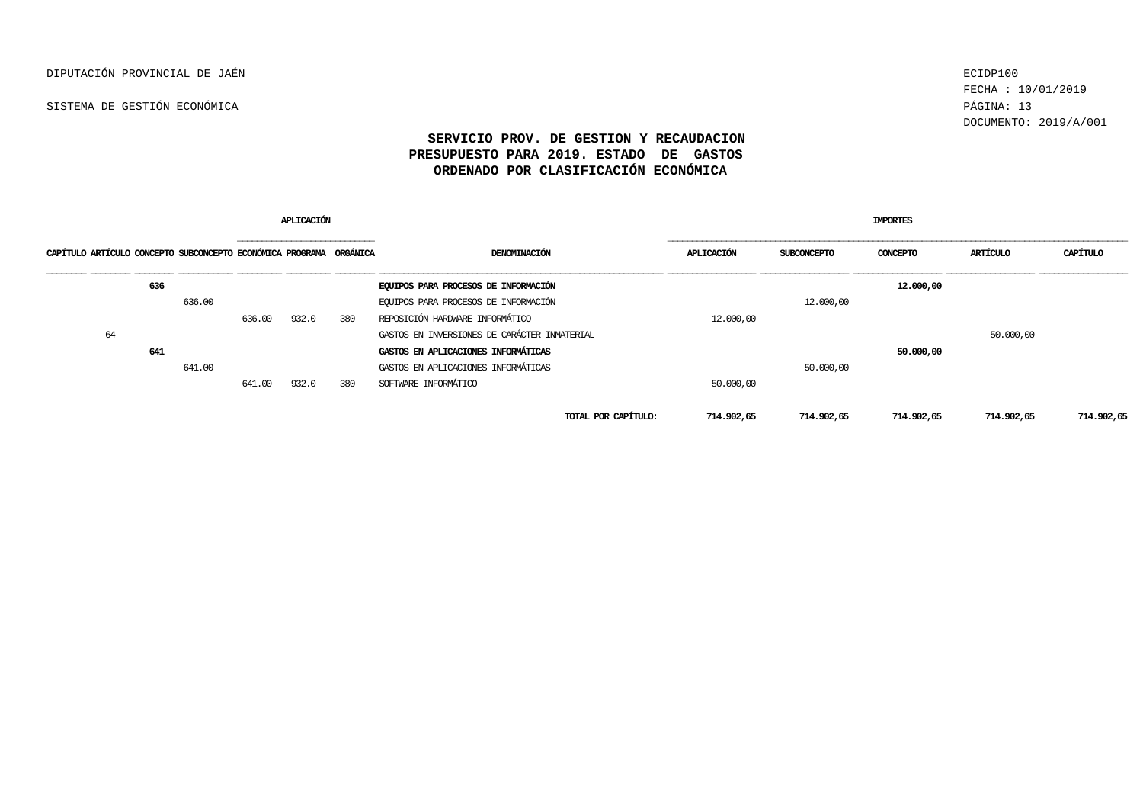FECHA : 10/01/2019 DOCUMENTO: 2019/A/001

| <b>APLICACIÓN</b>                                                  |     |        |        |       |     |                                              |            | <b>IMPORTES</b>    |            |            |            |  |  |
|--------------------------------------------------------------------|-----|--------|--------|-------|-----|----------------------------------------------|------------|--------------------|------------|------------|------------|--|--|
| CAPÍTULO ARTÍCULO CONCEPTO SUBCONCEPTO ECONÓMICA PROGRAMA ORGÁNICA |     |        |        |       |     | DENOMINACIÓN                                 | APLICACIÓN | <b>SUBCONCEPTO</b> | CONCEPTO   | ARTÍCULO   | CAPÍTULO   |  |  |
|                                                                    | 636 |        |        |       |     | EQUIPOS PARA PROCESOS DE INFORMACIÓN         |            |                    | 12,000,00  |            |            |  |  |
|                                                                    |     | 636.00 |        |       |     | EQUIPOS PARA PROCESOS DE INFORMACIÓN         |            | 12,000,00          |            |            |            |  |  |
|                                                                    |     |        | 636.00 | 932.0 | 380 | REPOSICIÓN HARDWARE INFORMÁTICO              | 12,000,00  |                    |            |            |            |  |  |
| 64                                                                 |     |        |        |       |     | GASTOS EN INVERSIONES DE CARÁCTER INMATERIAL |            |                    |            | 50.000,00  |            |  |  |
|                                                                    | 641 |        |        |       |     | GASTOS EN APLICACIONES INFORMÁTICAS          |            |                    | 50,000,00  |            |            |  |  |
|                                                                    |     | 641.00 |        |       |     | GASTOS EN APLICACIONES INFORMÁTICAS          |            | 50.000,00          |            |            |            |  |  |
|                                                                    |     |        | 641.00 | 932.0 | 380 | SOFTWARE INFORMÁTICO                         | 50,000,00  |                    |            |            |            |  |  |
|                                                                    |     |        |        |       |     | TOTAL POR CAPÍTULO:                          | 714.902,65 | 714.902,65         | 714.902,65 | 714.902,65 | 714.902,65 |  |  |